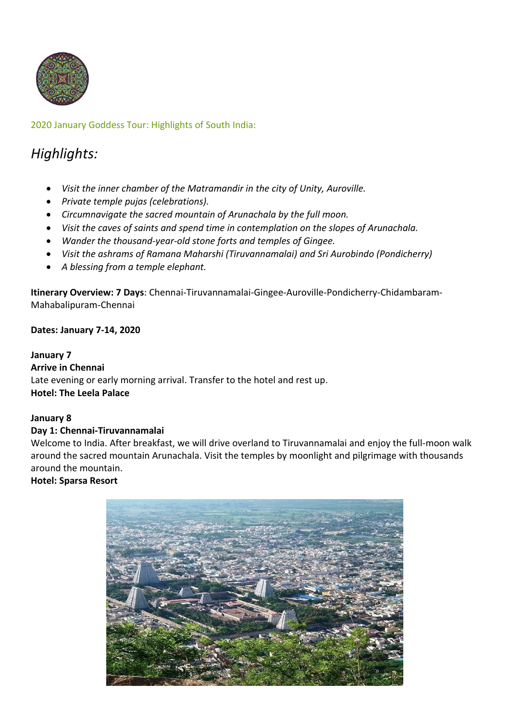

# 2020 January Goddess Tour: Highlights of South India:

# *Highlights:*

- *Visit the inner chamber of the Matramandir in the city of Unity, Auroville.*
- *Private temple pujas (celebrations).*
- *Circumnavigate the sacred mountain of Arunachala by the full moon.*
- *Visit the caves of saints and spend time in contemplation on the slopes of Arunachala.*
- *Wander the thousand-year-old stone forts and temples of Gingee.*
- *Visit the ashrams of Ramana Maharshi (Tiruvannamalai) and Sri Aurobindo (Pondicherry)*
- *A blessing from a temple elephant.*

**Itinerary Overview: 7 Days**: Chennai-Tiruvannamalai-Gingee-Auroville-Pondicherry-Chidambaram-Mahabalipuram-Chennai

### **Dates: January 7-14, 2020**

#### **January 7**

# **Arrive in Chennai**

Late evening or early morning arrival. Transfer to the hotel and rest up. **Hotel: The Leela Palace**

### **January 8**

### **Day 1: Chennai-Tiruvannamalai**

Welcome to India. After breakfast, we will drive overland to Tiruvannamalai and enjoy the full-moon walk around the sacred mountain Arunachala. Visit the temples by moonlight and pilgrimage with thousands around the mountain.

### **Hotel: Sparsa Resort**

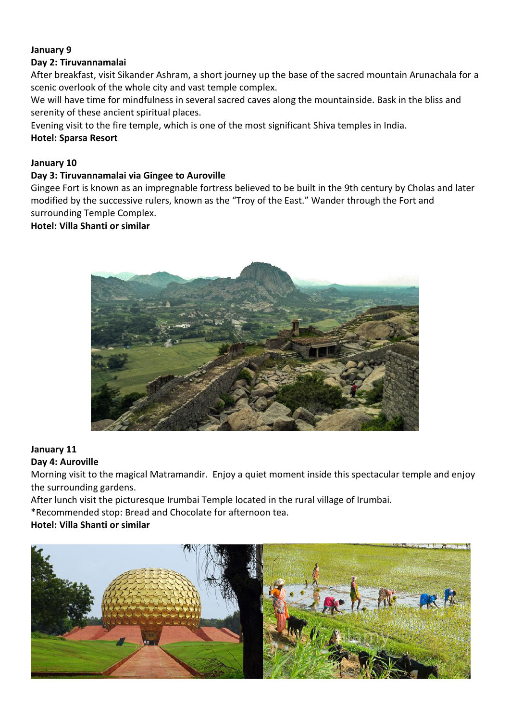# **January 9**

## **Day 2: Tiruvannamalai**

After breakfast, visit Sikander Ashram, a short journey up the base of the sacred mountain Arunachala for a scenic overlook of the whole city and vast temple complex.

We will have time for mindfulness in several sacred caves along the mountainside. Bask in the bliss and serenity of these ancient spiritual places.

Evening visit to the fire temple, which is one of the most significant Shiva temples in India.

## **Hotel: Sparsa Resort**

## **January 10**

## **Day 3: Tiruvannamalai via Gingee to Auroville**

Gingee Fort is known as an impregnable fortress believed to be built in the 9th century by Cholas and later modified by the successive rulers, known as the "Troy of the East." Wander through the Fort and surrounding Temple Complex.

### **Hotel: Villa Shanti or similar**



#### **January 11 Day 4: Auroville**

Morning visit to the magical Matramandir. Enjoy a quiet moment inside this spectacular temple and enjoy the surrounding gardens.

After lunch visit the picturesque Irumbai Temple located in the rural village of Irumbai.

\*Recommended stop: Bread and Chocolate for afternoon tea.

# **Hotel: Villa Shanti or similar**

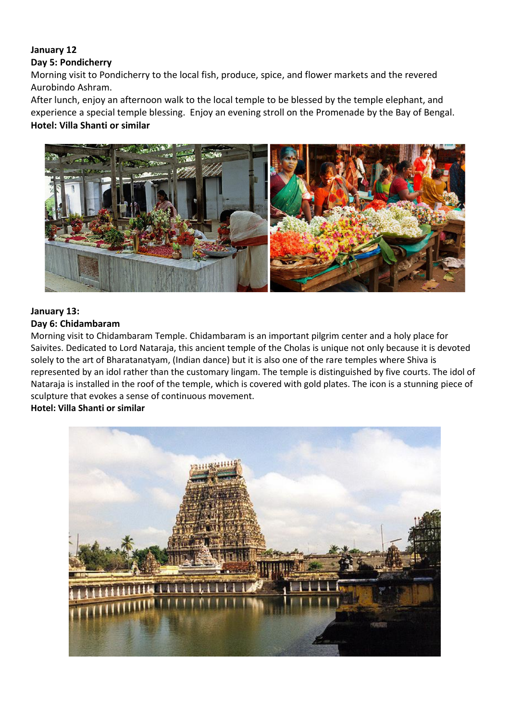#### **January 12 Day 5: Pondicherry**

Morning visit to Pondicherry to the local fish, produce, spice, and flower markets and the revered Aurobindo Ashram.

After lunch, enjoy an afternoon walk to the local temple to be blessed by the temple elephant, and experience a special temple blessing. Enjoy an evening stroll on the Promenade by the Bay of Bengal. **Hotel: Villa Shanti or similar**



## **January 13: Day 6: Chidambaram**

Morning visit to Chidambaram Temple. Chidambaram is an important pilgrim center and a holy place for Saivites. Dedicated to Lord Nataraja, this ancient temple of the Cholas is unique not only because it is devoted solely to the art of Bharatanatyam, (Indian dance) but it is also one of the rare temples where Shiva is represented by an idol rather than the customary lingam. The temple is distinguished by five courts. The idol of Nataraja is installed in the roof of the temple, which is covered with gold plates. The icon is a stunning piece of sculpture that evokes a sense of continuous movement.

# **Hotel: Villa Shanti or similar**